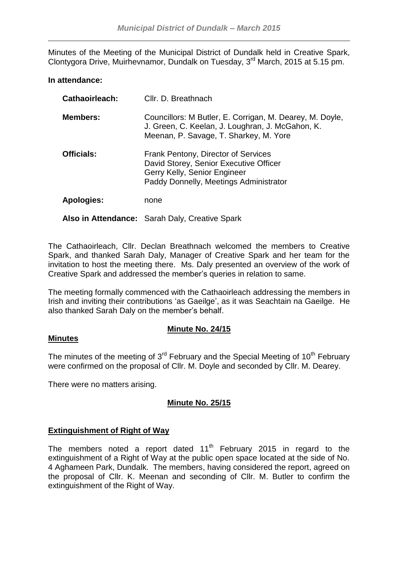Minutes of the Meeting of the Municipal District of Dundalk held in Creative Spark, Clontygora Drive, Muirhevnamor, Dundalk on Tuesday, 3<sup>rd</sup> March, 2015 at 5.15 pm.

### **In attendance:**

| <b>Cathaoirleach:</b> | Cllr. D. Breathnach                                                                                                                                     |
|-----------------------|---------------------------------------------------------------------------------------------------------------------------------------------------------|
| <b>Members:</b>       | Councillors: M Butler, E. Corrigan, M. Dearey, M. Doyle,<br>J. Green, C. Keelan, J. Loughran, J. McGahon, K.<br>Meenan, P. Savage, T. Sharkey, M. Yore  |
| <b>Officials:</b>     | Frank Pentony, Director of Services<br>David Storey, Senior Executive Officer<br>Gerry Kelly, Senior Engineer<br>Paddy Donnelly, Meetings Administrator |
| <b>Apologies:</b>     | none                                                                                                                                                    |
|                       | Also in Attendance: Sarah Daly, Creative Spark                                                                                                          |

The Cathaoirleach, Cllr. Declan Breathnach welcomed the members to Creative Spark, and thanked Sarah Daly, Manager of Creative Spark and her team for the invitation to host the meeting there. Ms. Daly presented an overview of the work of Creative Spark and addressed the member's queries in relation to same.

The meeting formally commenced with the Cathaoirleach addressing the members in Irish and inviting their contributions 'as Gaeilge', as it was Seachtain na Gaeilge. He also thanked Sarah Daly on the member's behalf.

### **Minute No. 24/15**

#### **Minutes**

The minutes of the meeting of  $3<sup>rd</sup>$  February and the Special Meeting of 10<sup>th</sup> February were confirmed on the proposal of Cllr. M. Doyle and seconded by Cllr. M. Dearey.

There were no matters arising.

### **Minute No. 25/15**

### **Extinguishment of Right of Way**

The members noted a report dated  $11<sup>th</sup>$  February 2015 in regard to the extinguishment of a Right of Way at the public open space located at the side of No. 4 Aghameen Park, Dundalk. The members, having considered the report, agreed on the proposal of Cllr. K. Meenan and seconding of Cllr. M. Butler to confirm the extinguishment of the Right of Way.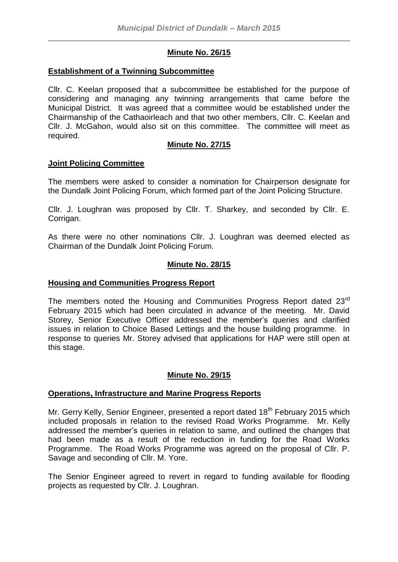# **Minute No. 26/15**

#### **Establishment of a Twinning Subcommittee**

Cllr. C. Keelan proposed that a subcommittee be established for the purpose of considering and managing any twinning arrangements that came before the Municipal District. It was agreed that a committee would be established under the Chairmanship of the Cathaoirleach and that two other members, Cllr. C. Keelan and Cllr. J. McGahon, would also sit on this committee. The committee will meet as required.

### **Minute No. 27/15**

#### **Joint Policing Committee**

The members were asked to consider a nomination for Chairperson designate for the Dundalk Joint Policing Forum, which formed part of the Joint Policing Structure.

Cllr. J. Loughran was proposed by Cllr. T. Sharkey, and seconded by Cllr. E. Corrigan.

As there were no other nominations Cllr. J. Loughran was deemed elected as Chairman of the Dundalk Joint Policing Forum.

### **Minute No. 28/15**

### **Housing and Communities Progress Report**

The members noted the Housing and Communities Progress Report dated 23<sup>rd</sup> February 2015 which had been circulated in advance of the meeting. Mr. David Storey, Senior Executive Officer addressed the member's queries and clarified issues in relation to Choice Based Lettings and the house building programme. In response to queries Mr. Storey advised that applications for HAP were still open at this stage.

### **Minute No. 29/15**

#### **Operations, Infrastructure and Marine Progress Reports**

Mr. Gerry Kelly, Senior Engineer, presented a report dated 18<sup>th</sup> February 2015 which included proposals in relation to the revised Road Works Programme. Mr. Kelly addressed the member's queries in relation to same, and outlined the changes that had been made as a result of the reduction in funding for the Road Works Programme. The Road Works Programme was agreed on the proposal of Cllr. P. Savage and seconding of Cllr. M. Yore.

The Senior Engineer agreed to revert in regard to funding available for flooding projects as requested by Cllr. J. Loughran.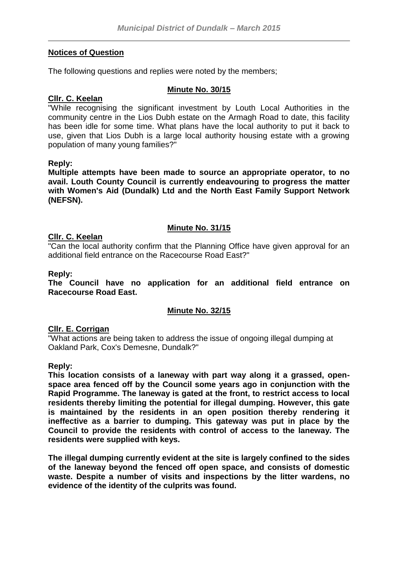### **Notices of Question**

The following questions and replies were noted by the members;

#### **Minute No. 30/15**

### **Cllr. C. Keelan**

"While recognising the significant investment by Louth Local Authorities in the community centre in the Lios Dubh estate on the Armagh Road to date, this facility has been idle for some time. What plans have the local authority to put it back to use, given that Lios Dubh is a large local authority housing estate with a growing population of many young families?"

#### **Reply:**

**Multiple attempts have been made to source an appropriate operator, to no avail. Louth County Council is currently endeavouring to progress the matter with Women's Aid (Dundalk) Ltd and the North East Family Support Network (NEFSN).**

#### **Minute No. 31/15**

#### **Cllr. C. Keelan**

"Can the local authority confirm that the Planning Office have given approval for an additional field entrance on the Racecourse Road East?"

#### **Reply:**

**The Council have no application for an additional field entrance on Racecourse Road East.**

### **Minute No. 32/15**

#### **Cllr. E. Corrigan**

"What actions are being taken to address the issue of ongoing illegal dumping at Oakland Park, Cox's Demesne, Dundalk?"

#### **Reply:**

**This location consists of a laneway with part way along it a grassed, openspace area fenced off by the Council some years ago in conjunction with the Rapid Programme. The laneway is gated at the front, to restrict access to local residents thereby limiting the potential for illegal dumping. However, this gate is maintained by the residents in an open position thereby rendering it ineffective as a barrier to dumping. This gateway was put in place by the Council to provide the residents with control of access to the laneway. The residents were supplied with keys.**

**The illegal dumping currently evident at the site is largely confined to the sides of the laneway beyond the fenced off open space, and consists of domestic waste. Despite a number of visits and inspections by the litter wardens, no evidence of the identity of the culprits was found.**